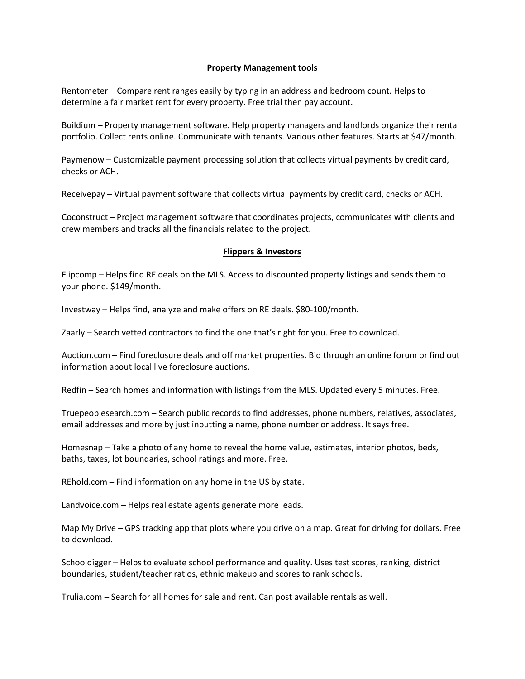## Property Management tools

Rentometer – Compare rent ranges easily by typing in an address and bedroom count. Helps to determine a fair market rent for every property. Free trial then pay account.

Buildium – Property management software. Help property managers and landlords organize their rental portfolio. Collect rents online. Communicate with tenants. Various other features. Starts at \$47/month.

Paymenow – Customizable payment processing solution that collects virtual payments by credit card, checks or ACH.

Receivepay – Virtual payment software that collects virtual payments by credit card, checks or ACH.

Coconstruct – Project management software that coordinates projects, communicates with clients and crew members and tracks all the financials related to the project.

## Flippers & Investors

Flipcomp – Helps find RE deals on the MLS. Access to discounted property listings and sends them to your phone. \$149/month.

Investway – Helps find, analyze and make offers on RE deals. \$80-100/month.

Zaarly – Search vetted contractors to find the one that's right for you. Free to download.

Auction.com – Find foreclosure deals and off market properties. Bid through an online forum or find out information about local live foreclosure auctions.

Redfin – Search homes and information with listings from the MLS. Updated every 5 minutes. Free.

Truepeoplesearch.com – Search public records to find addresses, phone numbers, relatives, associates, email addresses and more by just inputting a name, phone number or address. It says free.

Homesnap – Take a photo of any home to reveal the home value, estimates, interior photos, beds, baths, taxes, lot boundaries, school ratings and more. Free.

REhold.com – Find information on any home in the US by state.

Landvoice.com – Helps real estate agents generate more leads.

Map My Drive – GPS tracking app that plots where you drive on a map. Great for driving for dollars. Free to download.

Schooldigger – Helps to evaluate school performance and quality. Uses test scores, ranking, district boundaries, student/teacher ratios, ethnic makeup and scores to rank schools.

Trulia.com – Search for all homes for sale and rent. Can post available rentals as well.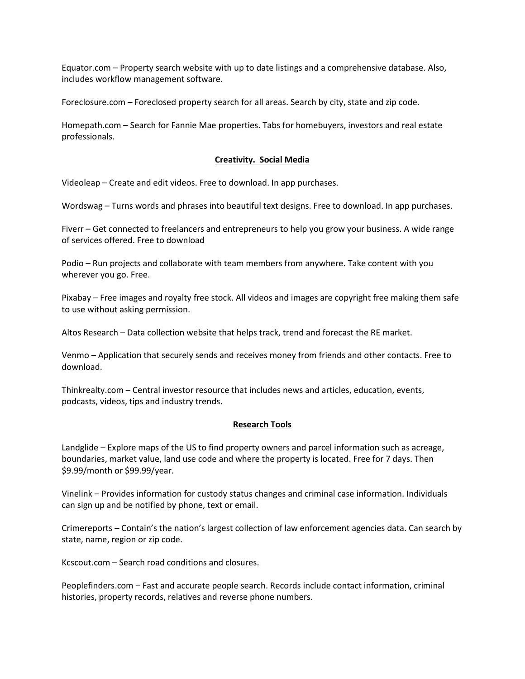Equator.com – Property search website with up to date listings and a comprehensive database. Also, includes workflow management software.

Foreclosure.com – Foreclosed property search for all areas. Search by city, state and zip code.

Homepath.com – Search for Fannie Mae properties. Tabs for homebuyers, investors and real estate professionals.

## Creativity. Social Media

Videoleap – Create and edit videos. Free to download. In app purchases.

Wordswag – Turns words and phrases into beautiful text designs. Free to download. In app purchases.

Fiverr – Get connected to freelancers and entrepreneurs to help you grow your business. A wide range of services offered. Free to download

Podio – Run projects and collaborate with team members from anywhere. Take content with you wherever you go. Free.

Pixabay – Free images and royalty free stock. All videos and images are copyright free making them safe to use without asking permission.

Altos Research – Data collection website that helps track, trend and forecast the RE market.

Venmo – Application that securely sends and receives money from friends and other contacts. Free to download.

Thinkrealty.com – Central investor resource that includes news and articles, education, events, podcasts, videos, tips and industry trends.

# Research Tools

Landglide – Explore maps of the US to find property owners and parcel information such as acreage, boundaries, market value, land use code and where the property is located. Free for 7 days. Then \$9.99/month or \$99.99/year.

Vinelink – Provides information for custody status changes and criminal case information. Individuals can sign up and be notified by phone, text or email.

Crimereports – Contain's the nation's largest collection of law enforcement agencies data. Can search by state, name, region or zip code.

Kcscout.com – Search road conditions and closures.

Peoplefinders.com – Fast and accurate people search. Records include contact information, criminal histories, property records, relatives and reverse phone numbers.